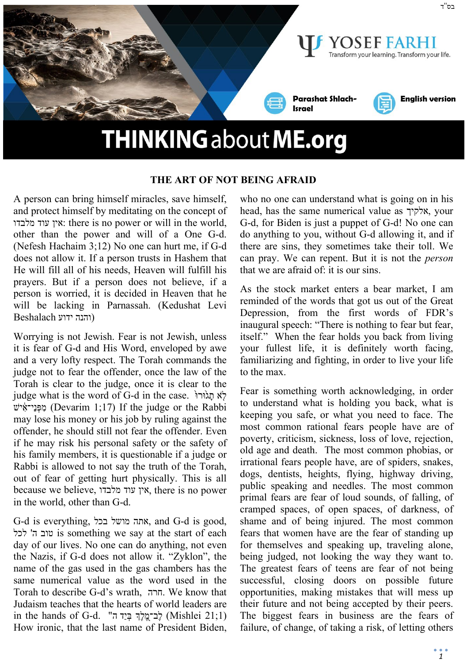

#### **THE ART OF NOT BEING AFRAID**

A person can bring himself miracles, save himself, and protect himself by meditating on the concept of מלבדו עוד אין: there is no power or will in the world, other than the power and will of a One G-d. (Nefesh Hachaim 3;12) No one can hurt me, if G-d does not allow it. If a person trusts in Hashem that He will fill all of his needs, Heaven will fulfill his prayers. But if a person does not believe, if a person is worried, it is decided in Heaven that he will be lacking in Parnassah. (Kedushat Levi (והנה ידוע Beshalach

Worrying is not Jewish. Fear is not Jewish, unless it is fear of G-d and His Word, enveloped by awe and a very lofty respect. The Torah commands the judge not to fear the offender, once the law of the Torah is clear to the judge, once it is clear to the judge what is the word of G-d in the case. לֹא תגוּרוּ ישׁ ִ֔י־אֵנ ְפּ ִמ) Devarim 1;17) If the judge or the Rabbi may lose his money or his job by ruling against the offender, he should still not fear the offender. Even if he may risk his personal safety or the safety of his family members, it is questionable if a judge or Rabbi is allowed to not say the truth of the Torah, out of fear of getting hurt physically. This is all because we believe, מלבדו עוד אין, there is no power in the world, other than G-d.

G-d is everything, בכל מושל אתה, and G-d is good, לכל' ה טוב is something we say at the start of each day of our lives. No one can do anything, not even the Nazis, if G-d does not allow it. "Zyklon", the name of the gas used in the gas chambers has the same numerical value as the word used in the Torah to describe G-d's wrath, חרה. We know that Judaism teaches that the hearts of world leaders are in the hands of G-d. "בִּרְ הְיֵד הָ $\zeta$ לְךָּ בְּיֵד (Mishlei 21;1) How ironic, that the last name of President Biden, who no one can understand what is going on in his head, has the same numerical value as אלקיך, your G-d, for Biden is just a puppet of G-d! No one can do anything to you, without G-d allowing it, and if there are sins, they sometimes take their toll. We can pray. We can repent. But it is not the *person* that we are afraid of: it is our sins.

As the stock market enters a bear market, I am reminded of the words that got us out of the Great Depression, from the first words of FDR's inaugural speech: "There is nothing to fear but fear, itself." When the fear holds you back from living your fullest life, it is definitely worth facing, familiarizing and fighting, in order to live your life to the max.

Fear is something worth acknowledging, in order to understand what is holding you back, what is keeping you safe, or what you need to face. The most common rational fears people have are of poverty, criticism, sickness, loss of love, rejection, old age and death. The most common phobias, or irrational fears people have, are of spiders, snakes, dogs, dentists, heights, flying, highway driving, public speaking and needles. The most common primal fears are fear of loud sounds, of falling, of cramped spaces, of open spaces, of darkness, of shame and of being injured. The most common fears that women have are the fear of standing up for themselves and speaking up, traveling alone, being judged, not looking the way they want to. The greatest fears of teens are fear of not being successful, closing doors on possible future opportunities, making mistakes that will mess up their future and not being accepted by their peers. The biggest fears in business are the fears of failure, of change, of taking a risk, of letting others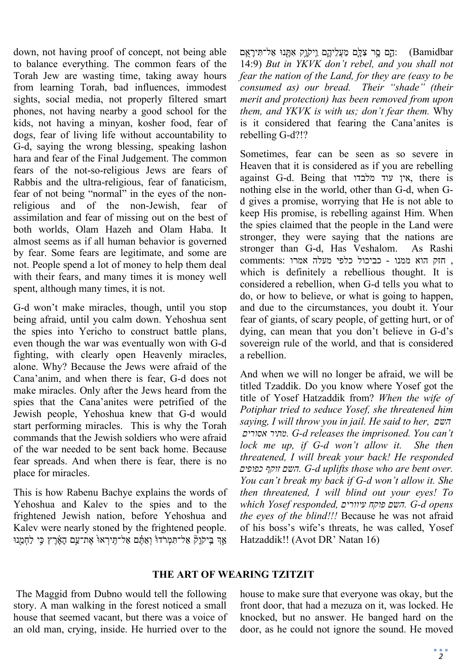down, not having proof of concept, not being able to balance everything. The common fears of the Torah Jew are wasting time, taking away hours from learning Torah, bad influences, immodest sights, social media, not properly filtered smart phones, not having nearby a good school for the kids, not having a minyan, kosher food, fear of dogs, fear of living life without accountability to G-d, saying the wrong blessing, speaking lashon hara and fear of the Final Judgement. The common fears of the not-so-religious Jews are fears of Rabbis and the ultra-religious, fear of fanaticism, fear of not being "normal" in the eyes of the nonreligious and of the non-Jewish, fear of assimilation and fear of missing out on the best of both worlds, Olam Hazeh and Olam Haba. It almost seems as if all human behavior is governed by fear. Some fears are legitimate, and some are not. People spend a lot of money to help them deal with their fears, and many times it is money well spent, although many times, it is not.

G-d won't make miracles, though, until you stop being afraid, until you calm down. Yehoshua sent the spies into Yericho to construct battle plans, even though the war was eventually won with G-d fighting, with clearly open Heavenly miracles, alone. Why? Because the Jews were afraid of the Cana'anim, and when there is fear, G-d does not make miracles. Only after the Jews heard from the spies that the Cana'anites were petrified of the Jewish people, Yehoshua knew that G-d would start performing miracles. This is why the Torah commands that the Jewish soldiers who were afraid of the war needed to be sent back home. Because fear spreads. And when there is fear, there is no place for miracles.

This is how Rabenu Bachye explains the words of Yehoshua and Kalev to the spies and to the frightened Jewish nation, before Yehoshua and Kalev were nearly stoned by the frightened people. אַרִ בִּיקֹוַקֿ אַל־תִּמְרֹדוּׂ וְאַתֵּ֫ם אַל־תֵּירְאוּ אֵת־עַם הָאָרֵץ כִּי לַחָמֲנוּ

הָם סֶר צִלָּם מֵעֲלִיהֶם וַיִּקְוֵק אָתָּנוּ אַל־תִּירָאֶם: (Bamidbar 14:9) *But in YKVK don't rebel, and you shall not fear the nation of the Land, for they are (easy to be consumed as) our bread. Their "shade" (their merit and protection) has been removed from upon them, and YKVK is with us; don't fear them.* Why is it considered that fearing the Cana'anites is rebelling G-d?!?

Sometimes, fear can be seen as so severe in Heaven that it is considered as if you are rebelling against G-d. Being that מלבדו עוד אין, there is nothing else in the world, other than G-d, when Gd gives a promise, worrying that He is not able to keep His promise, is rebelling against Him. When the spies claimed that the people in the Land were stronger, they were saying that the nations are stronger than G-d, Has Veshalom. As Rashi , חזק הוא ממנו - כביכול כלפי מעלה אמרו :comments which is definitely a rebellious thought. It is considered a rebellion, when G-d tells you what to do, or how to believe, or what is going to happen, and due to the circumstances, you doubt it. Your fear of giants, of scary people, of getting hurt, or of dying, can mean that you don't believe in G-d's sovereign rule of the world, and that is considered a rebellion.

And when we will no longer be afraid, we will be titled Tzaddik. Do you know where Yosef got the title of Yosef Hatzaddik from? *When the wife of Potiphar tried to seduce Yosef, she threatened him saying, I will throw you in jail. He said to her, השם אסורים מתיר. G-d releases the imprisoned. You can't lock me up, if G-d won't allow it. She then threatened, I will break your back! He responded כפופים זוקף השם. G-d uplifts those who are bent over. You can't break my back if G-d won't allow it. She then threatened, I will blind out your eyes! To which Yosef responded, עיוורים פוקח השם. G-d opens the eyes of the blind!!!* Because he was not afraid of his boss's wife's threats, he was called, Yosef Hatzaddik!! (Avot DR' Natan 16)

## **THE ART OF WEARING TZITZIT**

The Maggid from Dubno would tell the following story. A man walking in the forest noticed a small house that seemed vacant, but there was a voice of an old man, crying, inside. He hurried over to the

house to make sure that everyone was okay, but the front door, that had a mezuza on it, was locked. He knocked, but no answer. He banged hard on the door, as he could not ignore the sound. He moved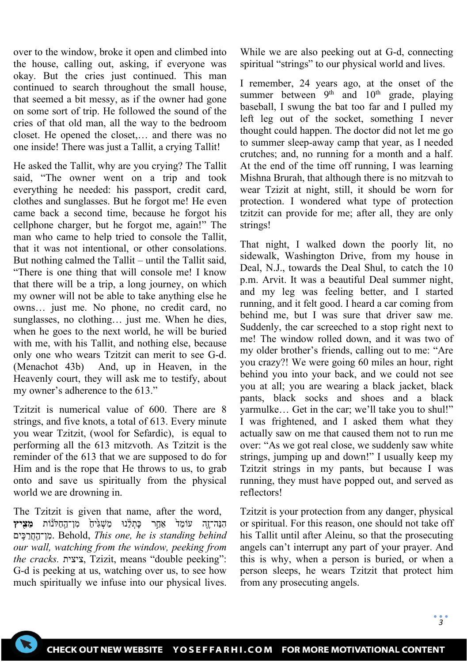over to the window, broke it open and climbed into the house, calling out, asking, if everyone was okay. But the cries just continued. This man continued to search throughout the small house, that seemed a bit messy, as if the owner had gone on some sort of trip. He followed the sound of the cries of that old man, all the way to the bedroom closet. He opened the closet,… and there was no one inside! There was just a Tallit, a crying Tallit!

He asked the Tallit, why are you crying? The Tallit said, "The owner went on a trip and took everything he needed: his passport, credit card, clothes and sunglasses. But he forgot me! He even came back a second time, because he forgot his cellphone charger, but he forgot me, again!" The man who came to help tried to console the Tallit, that it was not intentional, or other consolations. But nothing calmed the Tallit – until the Tallit said, "There is one thing that will console me! I know that there will be a trip, a long journey, on which my owner will not be able to take anything else he owns… just me. No phone, no credit card, no sunglasses, no clothing… just me. When he dies, when he goes to the next world, he will be buried with me, with his Tallit, and nothing else, because only one who wears Tzitzit can merit to see G-d. (Menachot 43b) And, up in Heaven, in the Heavenly court, they will ask me to testify, about my owner's adherence to the 613."

Tzitzit is numerical value of 600. There are 8 strings, and five knots, a total of 613. Every minute you wear Tzitzit, (wool for Sefardic), is equal to performing all the 613 mitzvoth. As Tzitzit is the reminder of the 613 that we are supposed to do for Him and is the rope that He throws to us, to grab onto and save us spiritually from the physical world we are drowning in.

The Tzitzit is given that name, after the word, הִנֵּה־זֶה עוֹמֵד<sup>ָּ</sup> אַחָר כַּתִלְנוּ מַשְׁגִ<sup>ּ</sup>יחַ מִן־הַחַלּנוֹת **מִצִיץ** ים ִֽכּ ַרֲח ַֽן־ה ִמ. Behold, *This one, he is standing behind our wall, watching from the window, peeking from the cracks.* ציצית, Tzizit, means "double peeking": G-d is peeking at us, watching over us, to see how much spiritually we infuse into our physical lives.

While we are also peeking out at G-d, connecting spiritual "strings" to our physical world and lives.

I remember, 24 years ago, at the onset of the summer between  $9<sup>th</sup>$  and  $10<sup>th</sup>$  grade, playing baseball, I swung the bat too far and I pulled my left leg out of the socket, something I never thought could happen. The doctor did not let me go to summer sleep-away camp that year, as I needed crutches; and, no running for a month and a half. At the end of the time off running, I was learning Mishna Brurah, that although there is no mitzvah to wear Tzizit at night, still, it should be worn for protection. I wondered what type of protection tzitzit can provide for me; after all, they are only strings!

That night, I walked down the poorly lit, no sidewalk, Washington Drive, from my house in Deal, N.J., towards the Deal Shul, to catch the 10 p.m. Arvit. It was a beautiful Deal summer night, and my leg was feeling better, and I started running, and it felt good. I heard a car coming from behind me, but I was sure that driver saw me. Suddenly, the car screeched to a stop right next to me! The window rolled down, and it was two of my older brother's friends, calling out to me: "Are you crazy?! We were going 60 miles an hour, right behind you into your back, and we could not see you at all; you are wearing a black jacket, black pants, black socks and shoes and a black yarmulke… Get in the car; we'll take you to shul!" I was frightened, and I asked them what they actually saw on me that caused them not to run me over: "As we got real close, we suddenly saw white strings, jumping up and down!" I usually keep my Tzitzit strings in my pants, but because I was running, they must have popped out, and served as reflectors!

Tzitzit is your protection from any danger, physical or spiritual. For this reason, one should not take off his Tallit until after Aleinu, so that the prosecuting angels can't interrupt any part of your prayer. And this is why, when a person is buried, or when a person sleeps, he wears Tzitzit that protect him from any prosecuting angels.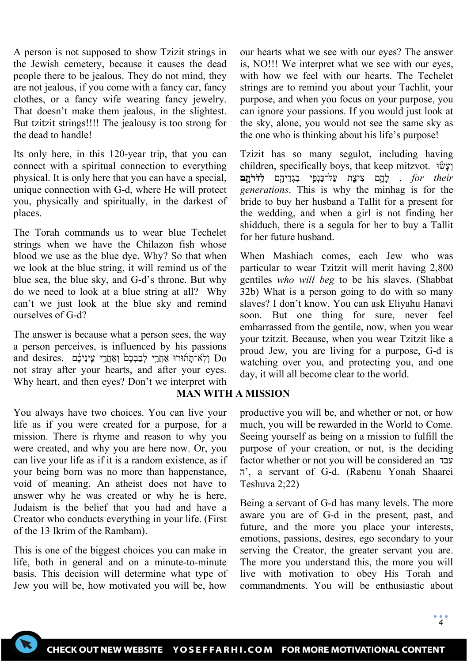A person is not supposed to show Tzizit strings in the Jewish cemetery, because it causes the dead people there to be jealous. They do not mind, they are not jealous, if you come with a fancy car, fancy clothes, or a fancy wife wearing fancy jewelry. That doesn't make them jealous, in the slightest. But tzitzit strings!!!! The jealousy is too strong for the dead to handle!

Its only here, in this 120-year trip, that you can connect with a spiritual connection to everything physical. It is only here that you can have a special, unique connection with G-d, where He will protect you, physically and spiritually, in the darkest of places.

The Torah commands us to wear blue Techelet strings when we have the Chilazon fish whose blood we use as the blue dye. Why? So that when we look at the blue string, it will remind us of the blue sea, the blue sky, and G-d's throne. But why do we need to look at a blue string at all? Why can't we just look at the blue sky and remind ourselves of G-d?

The answer is because what a person sees, the way a person perceives, is influenced by his passions and desires. וְלֹא־תָתווּרוּ אַחֲרֵי לְבַבְכֶם וְאַחֲרֵי עֵינֵיכֶם not stray after your hearts, and after your eyes. Why heart, and then eyes? Don't we interpret with

You always have two choices. You can live your life as if you were created for a purpose, for a mission. There is rhyme and reason to why you were created, and why you are here now. Or, you can live your life as if it is a random existence, as if your being born was no more than happenstance, void of meaning. An atheist does not have to answer why he was created or why he is here. Judaism is the belief that you had and have a Creator who conducts everything in your life. (First of the 13 Ikrim of the Rambam).

This is one of the biggest choices you can make in life, both in general and on a minute-to-minute basis. This decision will determine what type of Jew you will be, how motivated you will be, how

our hearts what we see with our eyes? The answer is, NO!!! We interpret what we see with our eyes, with how we feel with our hearts. The Techelet strings are to remind you about your Tachlit, your purpose, and when you focus on your purpose, you can ignore your passions. If you would just look at the sky, alone, you would not see the same sky as the one who is thinking about his life's purpose!

Tzizit has so many segulot, including having children, specifically boys, that keep mitzvot. וֹעֵשׁוּ for their , לְהֶם צִיצָת עַל־כַּנְפֵ<sup>ּ</sup>י בִגְדֵיהֵם ל**ְדֹרֹתֵם** *generations*. This is why the minhag is for the bride to buy her husband a Tallit for a present for the wedding, and when a girl is not finding her shidduch, there is a segula for her to buy a Tallit for her future husband.

When Mashiach comes, each Jew who was particular to wear Tzitzit will merit having 2,800 gentiles *who will beg* to be his slaves. (Shabbat 32b) What is a person going to do with so many slaves? I don't know. You can ask Eliyahu Hanavi soon. But one thing for sure, never feel embarrassed from the gentile, now, when you wear your tzitzit. Because, when you wear Tzitzit like a proud Jew, you are living for a purpose, G-d is watching over you, and protecting you, and one day, it will all become clear to the world.

## **MAN WITH A MISSION**

productive you will be, and whether or not, or how much, you will be rewarded in the World to Come. Seeing yourself as being on a mission to fulfill the purpose of your creation, or not, is the deciding factor whether or not you will be considered an עבד ה', a servant of G-d. (Rabenu Yonah Shaarei Teshuva 2;22)

Being a servant of G-d has many levels. The more aware you are of G-d in the present, past, and future, and the more you place your interests, emotions, passions, desires, ego secondary to your serving the Creator, the greater servant you are. The more you understand this, the more you will live with motivation to obey His Torah and commandments. You will be enthusiastic about

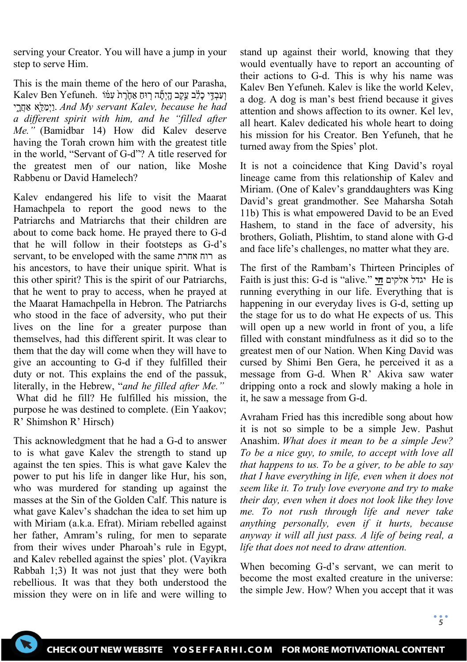serving your Creator. You will have a jump in your step to serve Him.

This is the main theme of the hero of our Parasha,  $\,$ Kalev Ben Yefuneh. וְעַבְדֵּי כַלְצְב עֵקֶב הֲיִתָּה רְוּחַ אַחֶּרָת עְמֹּ  *וַיְמַלֵּא* אַחֲרֵי *And My servant Kalev, because he had a different spirit with him, and he "filled after Me."* (Bamidbar 14) How did Kalev deserve having the Torah crown him with the greatest title in the world, "Servant of G-d"? A title reserved for the greatest men of our nation, like Moshe Rabbenu or David Hamelech?

Kalev endangered his life to visit the Maarat Hamachpela to report the good news to the Patriarchs and Matriarchs that their children are about to come back home. He prayed there to G-d that he will follow in their footsteps as G-d's servant, to be enveloped with the same אחרת רוח as his ancestors, to have their unique spirit. What is this other spirit? This is the spirit of our Patriarchs, that he went to pray to access, when he prayed at the Maarat Hamachpella in Hebron. The Patriarchs who stood in the face of adversity, who put their lives on the line for a greater purpose than themselves, had this different spirit. It was clear to them that the day will come when they will have to give an accounting to G-d if they fulfilled their duty or not. This explains the end of the passuk, literally, in the Hebrew, "*and he filled after Me."* What did he fill? He fulfilled his mission, the purpose he was destined to complete. (Ein Yaakov; R' Shimshon R' Hirsch)

This acknowledgment that he had a G-d to answer to is what gave Kalev the strength to stand up against the ten spies. This is what gave Kalev the power to put his life in danger like Hur, his son, who was murdered for standing up against the masses at the Sin of the Golden Calf. This nature is what gave Kalev's shadchan the idea to set him up with Miriam (a.k.a. Efrat). Miriam rebelled against her father, Amram's ruling, for men to separate from their wives under Pharoah's rule in Egypt, and Kalev rebelled against the spies' plot. (Vayikra Rabbah 1;3) It was not just that they were both rebellious. It was that they both understood the mission they were on in life and were willing to

stand up against their world, knowing that they would eventually have to report an accounting of their actions to G-d. This is why his name was Kalev Ben Yefuneh. Kalev is like the world Kelev, a dog. A dog is man's best friend because it gives attention and shows affection to its owner. Kel lev, all heart. Kalev dedicated his whole heart to doing his mission for his Creator. Ben Yefuneh, that he turned away from the Spies' plot.

It is not a coincidence that King David's royal lineage came from this relationship of Kalev and Miriam. (One of Kalev's granddaughters was King David's great grandmother. See Maharsha Sotah 11b) This is what empowered David to be an Eved Hashem, to stand in the face of adversity, his brothers, Goliath, Plishtim, to stand alone with G-d and face life's challenges, no matter what they are.

The first of the Rambam's Thirteen Principles of Faith is just this: G-d is "alive." **חי** אלקים יגדל He is running everything in our life. Everything that is happening in our everyday lives is G-d, setting up the stage for us to do what He expects of us. This will open up a new world in front of you, a life filled with constant mindfulness as it did so to the greatest men of our Nation. When King David was cursed by Shimi Ben Gera, he perceived it as a message from G-d. When R' Akiva saw water dripping onto a rock and slowly making a hole in it, he saw a message from G-d.

Avraham Fried has this incredible song about how it is not so simple to be a simple Jew. Pashut Anashim. *What does it mean to be a simple Jew? To be a nice guy, to smile, to accept with love all that happens to us. To be a giver, to be able to say that I have everything in life, even when it does not seem like it. To truly love everyone and try to make their day, even when it does not look like they love me. To not rush through life and never take anything personally, even if it hurts, because anyway it will all just pass. A life of being real, a life that does not need to draw attention.*

When becoming G-d's servant, we can merit to become the most exalted creature in the universe: the simple Jew. How? When you accept that it was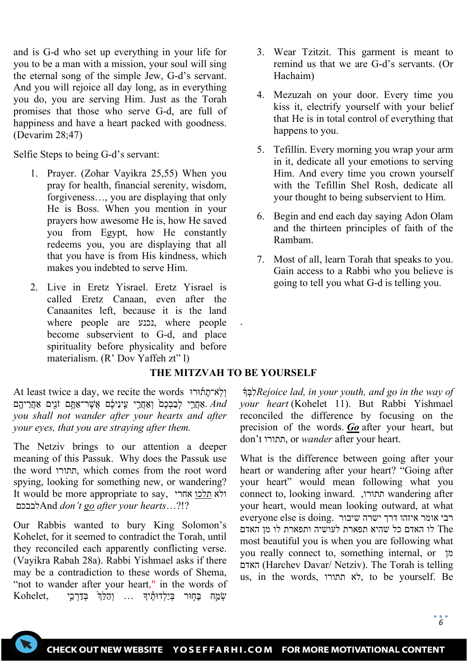and is G-d who set up everything in your life for you to be a man with a mission, your soul will sing the eternal song of the simple Jew, G-d's servant. And you will rejoice all day long, as in everything you do, you are serving Him. Just as the Torah promises that those who serve G-d, are full of happiness and have a heart packed with goodness. (Devarim 28;47)

Selfie Steps to being G-d's servant:

- 1. Prayer. (Zohar Vayikra 25,55) When you pray for health, financial serenity, wisdom, forgiveness…, you are displaying that only He is Boss. When you mention in your prayers how awesome He is, how He saved you from Egypt, how He constantly redeems you, you are displaying that all that you have is from His kindness, which makes you indebted to serve Him.
- 2. Live in Eretz Yisrael. Eretz Yisrael is called Eretz Canaan, even after the Canaanites left, because it is the land where people are נכנע, where people become subservient to G-d, and place spirituality before physicality and before materialism. (R' Dov Yaffeh zt" l)
- 3. Wear Tzitzit. This garment is meant to remind us that we are G-d's servants. (Or Hachaim)
- 4. Mezuzah on your door. Every time you kiss it, electrify yourself with your belief that He is in total control of everything that happens to you.
- 5. Tefillin. Every morning you wrap your arm in it, dedicate all your emotions to serving Him. And every time you crown yourself with the Tefillin Shel Rosh, dedicate all your thought to being subservient to Him.
- 6. Begin and end each day saying Adon Olam and the thirteen principles of faith of the Rambam.
- 7. Most of all, learn Torah that speaks to you. Gain access to a Rabbi who you believe is going to tell you what G-d is telling you.

## **THE MITZVAH TO BE YOURSELF**

.

At least twice a day, we recite the words וְלְאֹ־תַחוֹוּרוּ אַחֲרֵי לְבַבְכֶם<sup>{</sup> וְאֶחֲרֵי עֵינֵיכֶם אֲשֶׁר־אָתֲם זֹנֵים אָחֲרִיהֱם. *you shall not wander after your hearts and after your eyes, that you are straying after them.*

The Netziv brings to our attention a deeper meaning of this Passuk. Why does the Passuk use the word תתורו, which comes from the root word spying, looking for something new, or wandering? It would be more appropriate to say, אחרי תלכו ולא לבבכםAnd *don't go after your hearts*…?!?

Our Rabbis wanted to bury King Solomon's Kohelet, for it seemed to contradict the Torah, until they reconciled each apparently conflicting verse. (Vayikra Rabah 28a). Rabbi Yishmael asks if there may be a contradiction to these words of Shema, "not to wander after your heart," in the words of  $\rm{Kohelet},$  שְׁמֵח בַּחָוּר בְּיַלְדוּתֵ֫יִךְ ... וְהַלְּ $\rm{F}$  בְּדַרְכֵי

 ֔� ְבִּל*Rejoice lad, in your youth, and go in the way of your heart* (Kohelet 11). But Rabbi Yishmael reconciled the difference by focusing on the precision of the words. *Go* after your heart, but don't תתורו, or *wander* after your heart.

What is the difference between going after your heart or wandering after your heart? "Going after your heart" would mean following what you connect to, looking inward. ,תתורו wandering after your heart, would mean looking outward, at what רבי אומר איזהו דרך ישרה שיבור .doing is else everyone The לו האדם כל שהיא תפארת לעושיה ותפארת לו מן האדם most beautiful you is when you are following what you really connect to, something internal, or מן האדם) Harchev Davar/ Netziv). The Torah is telling us, in the words, תתורו לא, to be yourself. Be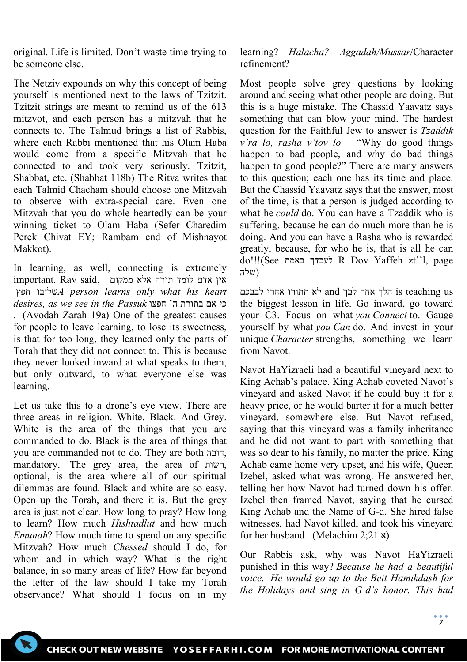original. Life is limited. Don't waste time trying to be someone else.

The Netziv expounds on why this concept of being yourself is mentioned next to the laws of Tzitzit. Tzitzit strings are meant to remind us of the 613 mitzvot, and each person has a mitzvah that he connects to. The Talmud brings a list of Rabbis, where each Rabbi mentioned that his Olam Haba would come from a specific Mitzvah that he connected to and took very seriously. Tzitzit, Shabbat, etc. (Shabbat 118b) The Ritva writes that each Talmid Chacham should choose one Mitzvah to observe with extra-special care. Even one Mitzvah that you do whole heartedly can be your winning ticket to Olam Haba (Sefer Charedim Perek Chivat EY; Rambam end of Mishnayot Makkot).

In learning, as well, connecting is extremely important. Rav said, אין אדם לומד תורה אלא ממקום חפץ ו שליב*A person learns only what his heart desires, as we see in the Passuk* חפצו' ה בתורת אם כי . (Avodah Zarah 19a) One of the greatest causes for people to leave learning, to lose its sweetness, is that for too long, they learned only the parts of Torah that they did not connect to. This is because they never looked inward at what speaks to them, but only outward, to what everyone else was learning.

Let us take this to a drone's eye view. There are three areas in religion. White. Black. And Grey. White is the area of the things that you are commanded to do. Black is the area of things that you are commanded not to do. They are both חובה, mandatory. The grey area, the area of רשות, optional, is the area where all of our spiritual dilemmas are found. Black and white are so easy. Open up the Torah, and there it is. But the grey area is just not clear. How long to pray? How long to learn? How much *Hishtadlut* and how much *Emunah*? How much time to spend on any specific Mitzvah? How much *Chessed* should I do, for whom and in which way? What is the right balance, in so many areas of life? How far beyond the letter of the law should I take my Torah observance? What should I focus on in my learning? *Halacha? Aggadah/Mussar*/Character refinement?

Most people solve grey questions by looking around and seeing what other people are doing. But this is a huge mistake. The Chassid Yaavatz says something that can blow your mind. The hardest question for the Faithful Jew to answer is *Tzaddik v'ra lo, rasha v'tov lo* – "Why do good things happen to bad people, and why do bad things happen to good people?" There are many answers to this question; each one has its time and place. But the Chassid Yaavatz says that the answer, most of the time, is that a person is judged according to what he *could* do. You can have a Tzaddik who is suffering, because he can do much more than he is doing. And you can have a Rasha who is rewarded greatly, because, for who he is, that is all he can do!!!(See באמת לעבדך R Dov Yaffeh zt''l, page (שלה

 us teaching is הלך אחר לבך and לא תתורו אחרי לבבכם the biggest lesson in life. Go inward, go toward your C3. Focus on what *you Connect* to. Gauge yourself by what *you Can* do. And invest in your unique *Character* strengths, something we learn from Navot.

Navot HaYizraeli had a beautiful vineyard next to King Achab's palace. King Achab coveted Navot's vineyard and asked Navot if he could buy it for a heavy price, or he would barter it for a much better vineyard, somewhere else. But Navot refused, saying that this vineyard was a family inheritance and he did not want to part with something that was so dear to his family, no matter the price. King Achab came home very upset, and his wife, Queen Izebel, asked what was wrong. He answered her, telling her how Navot had turned down his offer. Izebel then framed Navot, saying that he cursed King Achab and the Name of G-d. She hired false witnesses, had Navot killed, and took his vineyard for her husband. (Melachim 2;21 א)

Our Rabbis ask, why was Navot HaYizraeli punished in this way? *Because he had a beautiful voice. He would go up to the Beit Hamikdash for the Holidays and sing in G-d's honor. This had*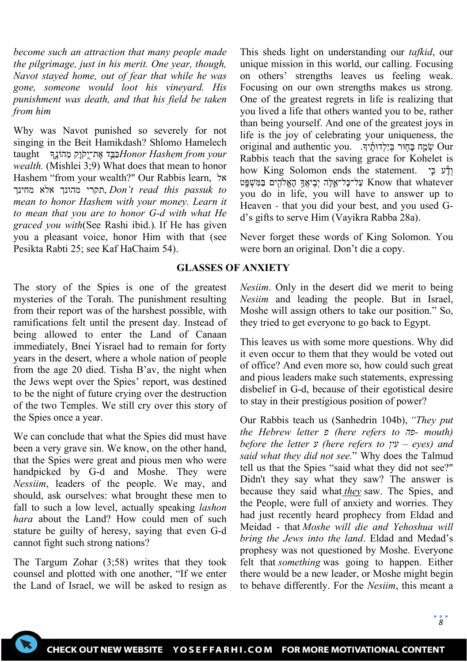*become such an attraction that many people made the pilgrimage, just in his merit. One year, though, Navot stayed home, out of fear that while he was gone, someone would loot his vineyard. His punishment was death, and that his field be taken from him*

Why was Navot punished so severely for not singing in the Beit Hamikdash? Shlomo Hamelech taught *וּבֵּ* אֶת־יְקֹוָק מֵהוֹנֵךְ taught *iushem הַבֵּר אֵת־יָק*וֹ *wealth.* (Mishlei 3;9) What does that mean to honor Hashem "from your wealth?" Our Rabbis learn, אל מחינך אלא מהונך תקרי, *Don't read this passuk to mean to honor Hashem with your money. Learn it to mean that you are to honor G-d with what He graced you with*(See Rashi ibid.)*.* If He has given you a pleasant voice, honor Him with that (see Pesikta Rabti 25; see Kaf HaChaim 54).

The story of the Spies is one of the greatest mysteries of the Torah. The punishment resulting from their report was of the harshest possible, with ramifications felt until the present day. Instead of being allowed to enter the Land of Canaan immediately, Bnei Yisrael had to remain for forty years in the desert, where a whole nation of people from the age 20 died. Tisha B'av, the night when the Jews wept over the Spies' report, was destined to be the night of future crying over the destruction of the two Temples. We still cry over this story of the Spies once a year.

We can conclude that what the Spies did must have been a very grave sin. We know, on the other hand, that the Spies were great and pious men who were handpicked by G-d and Moshe. They were *Nessiim*, leaders of the people. We may, and should, ask ourselves: what brought these men to fall to such a low level, actually speaking *lashon hara* about the Land? How could men of such stature be guilty of heresy, saying that even G-d cannot fight such strong nations?

The Targum Zohar (3;58) writes that they took counsel and plotted with one another, "If we enter the Land of Israel, we will be asked to resign as

This sheds light on understanding our *tafkid*, our unique mission in this world, our calling. Focusing on others' strengths leaves us feeling weak. Focusing on our own strengths makes us strong. One of the greatest regrets in life is realizing that you lived a life that others wanted you to be, rather than being yourself. And one of the greatest joys in life is the joy of celebrating your uniqueness, the original and authentic you. . .דְּוּרְ בִילְדוּתִיּךְ Rabbis teach that the saving grace for Kohelet is how King Solomon ends the statement. וֹדָּע כֵּי עַל־כַּל־אֵלֶּה יְבֵיאֵךָ הַאֱלֹהֶים בַּמִּשְׁפָּט Know that whatever you do in life, you will have to answer up to Heaven - that you did your best, and you used Gd's gifts to serve Him (Vayikra Rabba 28a).

Never forget these words of King Solomon. You were born an original. Don't die a copy.

### **GLASSES OF ANXIETY**

*Nesiim*. Only in the desert did we merit to being *Nesiim* and leading the people. But in Israel, Moshe will assign others to take our position." So, they tried to get everyone to go back to Egypt.

This leaves us with some more questions. Why did it even occur to them that they would be voted out of office? And even more so, how could such great and pious leaders make such statements, expressing disbelief in G-d, because of their egotistical desire to stay in their prestigious position of power?

Our Rabbis teach us (Sanhedrin 104b), *"They put the Hebrew letter פ) here refers to פה- mouth) before the letter ע) here refers to עין – eyes) and said what they did not see.*" Why does the Talmud tell us that the Spies "said what they did not see?" Didn't they say what they saw? The answer is because they said what *they* saw. The Spies, and the People, were full of anxiety and worries. They had just recently heard prophecy from Eldad and Meidad - that *Moshe will die and Yehoshua will bring the Jews into the land*. Eldad and Medad's prophesy was not questioned by Moshe. Everyone felt that *something* was going to happen. Either there would be a new leader, or Moshe might begin to behave differently. For the *Nesiim*, this meant a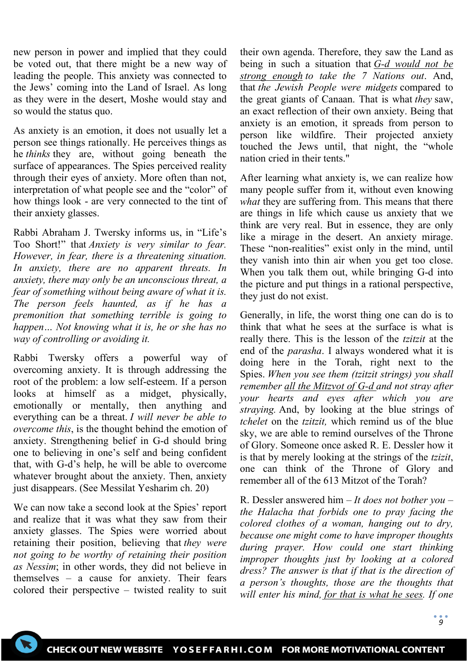new person in power and implied that they could be voted out, that there might be a new way of leading the people. This anxiety was connected to the Jews' coming into the Land of Israel. As long as they were in the desert, Moshe would stay and so would the status quo.

As anxiety is an emotion, it does not usually let a person see things rationally. He perceives things as he *thinks* they are, without going beneath the surface of appearances. The Spies perceived reality through their eyes of anxiety. More often than not, interpretation of what people see and the "color" of how things look - are very connected to the tint of their anxiety glasses.

Rabbi Abraham J. Twersky informs us, in "Life's Too Short!" that *Anxiety is very similar to fear. However, in fear, there is a threatening situation. In anxiety, there are no apparent threats. In anxiety, there may only be an unconscious threat, a fear of something without being aware of what it is. The person feels haunted, as if he has a premonition that something terrible is going to happen… Not knowing what it is, he or she has no way of controlling or avoiding it.*

Rabbi Twersky offers a powerful way of overcoming anxiety. It is through addressing the root of the problem: a low self-esteem. If a person looks at himself as a midget, physically, emotionally or mentally, then anything and everything can be a threat. *I will never be able to overcome this*, is the thought behind the emotion of anxiety. Strengthening belief in G-d should bring one to believing in one's self and being confident that, with G-d's help, he will be able to overcome whatever brought about the anxiety. Then, anxiety just disappears. (See Messilat Yesharim ch. 20)

We can now take a second look at the Spies' report and realize that it was what they saw from their anxiety glasses. The Spies were worried about retaining their position, believing that *they were not going to be worthy of retaining their position as Nessim*; in other words, they did not believe in themselves – a cause for anxiety. Their fears colored their perspective – twisted reality to suit their own agenda. Therefore, they saw the Land as being in such a situation that *G-d would not be strong enough to take the 7 Nations out*. And, that *the Jewish People were midgets* compared to the great giants of Canaan. That is what *they* saw, an exact reflection of their own anxiety. Being that anxiety is an emotion, it spreads from person to person like wildfire. Their projected anxiety touched the Jews until, that night, the "whole nation cried in their tents."

After learning what anxiety is, we can realize how many people suffer from it, without even knowing *what* they are suffering from. This means that there are things in life which cause us anxiety that we think are very real. But in essence, they are only like a mirage in the desert. An anxiety mirage. These "non-realities" exist only in the mind, until they vanish into thin air when you get too close. When you talk them out, while bringing G-d into the picture and put things in a rational perspective, they just do not exist.

Generally, in life, the worst thing one can do is to think that what he sees at the surface is what is really there. This is the lesson of the *tzitzit* at the end of the *parasha*. I always wondered what it is doing here in the Torah, right next to the Spies. *When you see them (tzitzit strings) you shall remember all the Mitzvot of G-d and not stray after your hearts and eyes after which you are straying.* And, by looking at the blue strings of *tchelet* on the *tzitzit,* which remind us of the blue sky, we are able to remind ourselves of the Throne of Glory. Someone once asked R. E. Dessler how it is that by merely looking at the strings of the *tzizit*, one can think of the Throne of Glory and remember all of the 613 Mitzot of the Torah?

R. Dessler answered him – *It does not bother you – the Halacha that forbids one to pray facing the colored clothes of a woman, hanging out to dry, because one might come to have improper thoughts during prayer. How could one start thinking improper thoughts just by looking at a colored dress? The answer is that if that is the direction of a person's thoughts, those are the thoughts that will enter his mind, for that is what he sees. If one*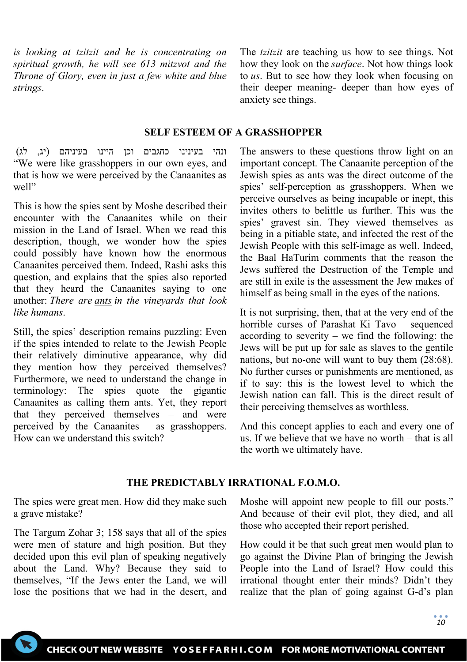*is looking at tzitzit and he is concentrating on spiritual growth, he will see 613 mitzvot and the Throne of Glory, even in just a few white and blue strings*.

The *tzitzit* are teaching us how to see things. Not how they look on the *surface*. Not how things look to *us*. But to see how they look when focusing on their deeper meaning- deeper than how eyes of anxiety see things.

#### **SELF ESTEEM OF A GRASSHOPPER**

ונהי בעינינו כחגבים וכן היינו בעיניהם (יג, לג) "We were like grasshoppers in our own eyes, and that is how we were perceived by the Canaanites as well"

This is how the spies sent by Moshe described their encounter with the Canaanites while on their mission in the Land of Israel. When we read this description, though, we wonder how the spies could possibly have known how the enormous Canaanites perceived them. Indeed, Rashi asks this question, and explains that the spies also reported that they heard the Canaanites saying to one another: *There are ants in the vineyards that look like humans*.

Still, the spies' description remains puzzling: Even if the spies intended to relate to the Jewish People their relatively diminutive appearance, why did they mention how they perceived themselves? Furthermore, we need to understand the change in terminology: The spies quote the gigantic Canaanites as calling them ants. Yet, they report that they perceived themselves – and were perceived by the Canaanites – as grasshoppers. How can we understand this switch?

The answers to these questions throw light on an important concept. The Canaanite perception of the Jewish spies as ants was the direct outcome of the spies' self-perception as grasshoppers. When we perceive ourselves as being incapable or inept, this invites others to belittle us further. This was the spies' gravest sin. They viewed themselves as being in a pitiable state, and infected the rest of the Jewish People with this self-image as well. Indeed, the Baal HaTurim comments that the reason the Jews suffered the Destruction of the Temple and are still in exile is the assessment the Jew makes of himself as being small in the eyes of the nations.

It is not surprising, then, that at the very end of the horrible curses of Parashat Ki Tavo – sequenced according to severity – we find the following: the Jews will be put up for sale as slaves to the gentile nations, but no-one will want to buy them (28:68). No further curses or punishments are mentioned, as if to say: this is the lowest level to which the Jewish nation can fall. This is the direct result of their perceiving themselves as worthless.

And this concept applies to each and every one of us. If we believe that we have no worth – that is all the worth we ultimately have.

### **THE PREDICTABLY IRRATIONAL F.O.M.O.**

The spies were great men. How did they make such a grave mistake?

The Targum Zohar 3; 158 says that all of the spies were men of stature and high position. But they decided upon this evil plan of speaking negatively about the Land. Why? Because they said to themselves, "If the Jews enter the Land, we will lose the positions that we had in the desert, and Moshe will appoint new people to fill our posts." And because of their evil plot, they died, and all those who accepted their report perished.

How could it be that such great men would plan to go against the Divine Plan of bringing the Jewish People into the Land of Israel? How could this irrational thought enter their minds? Didn't they realize that the plan of going against G-d's plan

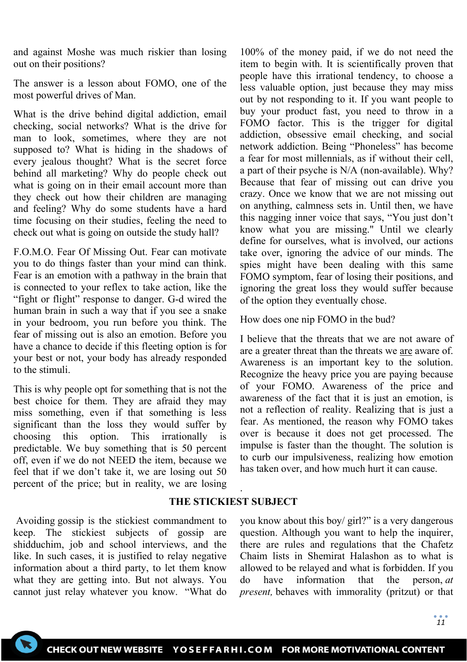and against Moshe was much riskier than losing out on their positions?

The answer is a lesson about FOMO, one of the most powerful drives of Man.

What is the drive behind digital addiction, email checking, social networks? What is the drive for man to look, sometimes, where they are not supposed to? What is hiding in the shadows of every jealous thought? What is the secret force behind all marketing? Why do people check out what is going on in their email account more than they check out how their children are managing and feeling? Why do some students have a hard time focusing on their studies, feeling the need to check out what is going on outside the study hall?

F.O.M.O. Fear Of Missing Out. Fear can motivate you to do things faster than your mind can think. Fear is an emotion with a pathway in the brain that is connected to your reflex to take action, like the "fight or flight" response to danger. G-d wired the human brain in such a way that if you see a snake in your bedroom, you run before you think. The fear of missing out is also an emotion. Before you have a chance to decide if this fleeting option is for your best or not, your body has already responded to the stimuli.

This is why people opt for something that is not the best choice for them. They are afraid they may miss something, even if that something is less significant than the loss they would suffer by choosing this option. This irrationally is predictable. We buy something that is 50 percent off, even if we do not NEED the item, because we feel that if we don't take it, we are losing out 50 percent of the price; but in reality, we are losing

100% of the money paid, if we do not need the item to begin with. It is scientifically proven that people have this irrational tendency, to choose a less valuable option, just because they may miss out by not responding to it. If you want people to buy your product fast, you need to throw in a FOMO factor. This is the trigger for digital addiction, obsessive email checking, and social network addiction. Being "Phoneless" has become a fear for most millennials, as if without their cell, a part of their psyche is N/A (non-available). Why? Because that fear of missing out can drive you crazy. Once we know that we are not missing out on anything, calmness sets in. Until then, we have this nagging inner voice that says, "You just don't know what you are missing." Until we clearly define for ourselves, what is involved, our actions take over, ignoring the advice of our minds. The spies might have been dealing with this same FOMO symptom, fear of losing their positions, and ignoring the great loss they would suffer because of the option they eventually chose.

How does one nip FOMO in the bud?

I believe that the threats that we are not aware of are a greater threat than the threats we are aware of. Awareness is an important key to the solution. Recognize the heavy price you are paying because of your FOMO. Awareness of the price and awareness of the fact that it is just an emotion, is not a reflection of reality. Realizing that is just a fear. As mentioned, the reason why FOMO takes over is because it does not get processed. The impulse is faster than the thought. The solution is to curb our impulsiveness, realizing how emotion has taken over, and how much hurt it can cause.

## **THE STICKIEST SUBJECT**

.

Avoiding gossip is the stickiest commandment to keep. The stickiest subjects of gossip are shidduchim, job and school interviews, and the like. In such cases, it is justified to relay negative information about a third party, to let them know what they are getting into. But not always. You cannot just relay whatever you know. "What do you know about this boy/ girl?" is a very dangerous question. Although you want to help the inquirer, there are rules and regulations that the Chafetz Chaim lists in Shemirat Halashon as to what is allowed to be relayed and what is forbidden. If you do have information that the person, *at present,* behaves with immorality (pritzut) or that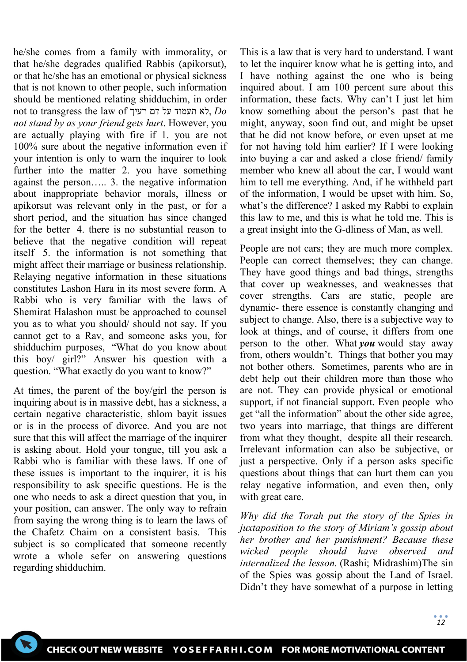he/she comes from a family with immorality, or that he/she degrades qualified Rabbis (apikorsut), or that he/she has an emotional or physical sickness that is not known to other people, such information should be mentioned relating shidduchim, in order not to transgress the law of רעיך דם על תעמוד לא, *Do not stand by as your friend gets hurt*. However, you are actually playing with fire if 1. you are not 100% sure about the negative information even if your intention is only to warn the inquirer to look further into the matter 2. you have something against the person….. 3. the negative information about inappropriate behavior morals, illness or apikorsut was relevant only in the past, or for a short period, and the situation has since changed for the better 4. there is no substantial reason to believe that the negative condition will repeat itself 5. the information is not something that might affect their marriage or business relationship. Relaying negative information in these situations constitutes Lashon Hara in its most severe form. A Rabbi who is very familiar with the laws of Shemirat Halashon must be approached to counsel you as to what you should/ should not say. If you cannot get to a Rav, and someone asks you, for shidduchim purposes, "What do you know about this boy/ girl?" Answer his question with a question. "What exactly do you want to know?"

At times, the parent of the boy/girl the person is inquiring about is in massive debt, has a sickness, a certain negative characteristic, shlom bayit issues or is in the process of divorce. And you are not sure that this will affect the marriage of the inquirer is asking about. Hold your tongue, till you ask a Rabbi who is familiar with these laws. If one of these issues is important to the inquirer, it is his responsibility to ask specific questions. He is the one who needs to ask a direct question that you, in your position, can answer. The only way to refrain from saying the wrong thing is to learn the laws of the Chafetz Chaim on a consistent basis. This subject is so complicated that someone recently wrote a whole sefer on answering questions regarding shidduchim.

This is a law that is very hard to understand. I want to let the inquirer know what he is getting into, and I have nothing against the one who is being inquired about. I am 100 percent sure about this information, these facts. Why can't I just let him know something about the person's past that he might, anyway, soon find out, and might be upset that he did not know before, or even upset at me for not having told him earlier? If I were looking into buying a car and asked a close friend/ family member who knew all about the car, I would want him to tell me everything. And, if he withheld part of the information, I would be upset with him. So, what's the difference? I asked my Rabbi to explain this law to me, and this is what he told me. This is a great insight into the G-dliness of Man, as well.

People are not cars; they are much more complex. People can correct themselves; they can change. They have good things and bad things, strengths that cover up weaknesses, and weaknesses that cover strengths. Cars are static, people are dynamic- there essence is constantly changing and subject to change. Also, there is a subjective way to look at things, and of course, it differs from one person to the other. What *you* would stay away from, others wouldn't. Things that bother you may not bother others. Sometimes, parents who are in debt help out their children more than those who are not. They can provide physical or emotional support, if not financial support. Even people who get "all the information" about the other side agree, two years into marriage, that things are different from what they thought, despite all their research. Irrelevant information can also be subjective, or just a perspective. Only if a person asks specific questions about things that can hurt them can you relay negative information, and even then, only with great care.

*Why did the Torah put the story of the Spies in juxtaposition to the story of Miriam's gossip about her brother and her punishment? Because these wicked people should have observed and internalized the lesson.* (Rashi; Midrashim)The sin of the Spies was gossip about the Land of Israel. Didn't they have somewhat of a purpose in letting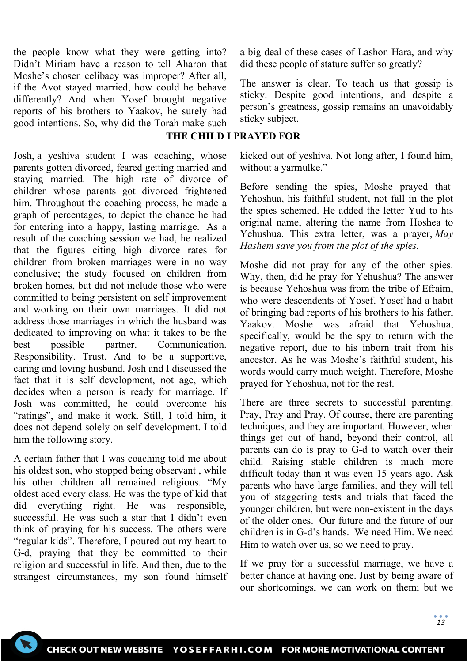the people know what they were getting into? Didn't Miriam have a reason to tell Aharon that Moshe's chosen celibacy was improper? After all, if the Avot stayed married, how could he behave differently? And when Yosef brought negative reports of his brothers to Yaakov, he surely had good intentions. So, why did the Torah make such

Josh, a yeshiva student I was coaching, whose parents gotten divorced, feared getting married and staying married. The high rate of divorce of children whose parents got divorced frightened him. Throughout the coaching process, he made a graph of percentages, to depict the chance he had for entering into a happy, lasting marriage. As a result of the coaching session we had, he realized that the figures citing high divorce rates for children from broken marriages were in no way conclusive; the study focused on children from broken homes, but did not include those who were committed to being persistent on self improvement and working on their own marriages. It did not address those marriages in which the husband was dedicated to improving on what it takes to be the best possible partner. Communication. Responsibility. Trust. And to be a supportive, caring and loving husband. Josh and I discussed the fact that it is self development, not age, which decides when a person is ready for marriage. If Josh was committed, he could overcome his "ratings", and make it work. Still, I told him, it does not depend solely on self development. I told him the following story.

A certain father that I was coaching told me about his oldest son, who stopped being observant , while his other children all remained religious. "My oldest aced every class. He was the type of kid that did everything right. He was responsible, successful. He was such a star that I didn't even think of praying for his success. The others were "regular kids". Therefore, I poured out my heart to G-d, praying that they be committed to their religion and successful in life. And then, due to the strangest circumstances, my son found himself a big deal of these cases of Lashon Hara, and why did these people of stature suffer so greatly?

The answer is clear. To teach us that gossip is sticky. Despite good intentions, and despite a person's greatness, gossip remains an unavoidably sticky subject.

# **THE CHILD I PRAYED FOR**

kicked out of yeshiva. Not long after, I found him, without a yarmulke."

Before sending the spies, Moshe prayed that Yehoshua, his faithful student, not fall in the plot the spies schemed. He added the letter Yud to his original name, altering the name from Hoshea to Yehushua. This extra letter, was a prayer, *May Hashem save you from the plot of the spies.*

Moshe did not pray for any of the other spies. Why, then, did he pray for Yehushua? The answer is because Yehoshua was from the tribe of Efraim, who were descendents of Yosef. Yosef had a habit of bringing bad reports of his brothers to his father, Yaakov. Moshe was afraid that Yehoshua, specifically, would be the spy to return with the negative report, due to his inborn trait from his ancestor. As he was Moshe's faithful student, his words would carry much weight. Therefore, Moshe prayed for Yehoshua, not for the rest.

There are three secrets to successful parenting. Pray, Pray and Pray. Of course, there are parenting techniques, and they are important. However, when things get out of hand, beyond their control, all parents can do is pray to G-d to watch over their child. Raising stable children is much more difficult today than it was even 15 years ago. Ask parents who have large families, and they will tell you of staggering tests and trials that faced the younger children, but were non-existent in the days of the older ones. Our future and the future of our children is in G-d's hands. We need Him. We need Him to watch over us, so we need to pray.

If we pray for a successful marriage, we have a better chance at having one. Just by being aware of our shortcomings, we can work on them; but we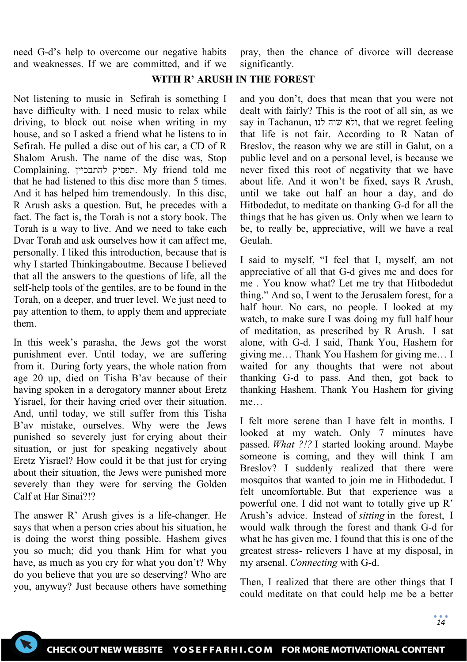need G-d's help to overcome our negative habits and weaknesses. If we are committed, and if we pray, then the chance of divorce will decrease significantly.

### **WITH R' ARUSH IN THE FOREST**

Not listening to music in Sefirah is something I have difficulty with. I need music to relax while driving, to block out noise when writing in my house, and so I asked a friend what he listens to in Sefirah. He pulled a disc out of his car, a CD of R Shalom Arush. The name of the disc was, Stop Complaining. להתבכיין תפסיק. My friend told me that he had listened to this disc more than 5 times. And it has helped him tremendously. In this disc, R Arush asks a question. But, he precedes with a fact. The fact is, the Torah is not a story book. The Torah is a way to live. And we need to take each Dvar Torah and ask ourselves how it can affect me, personally. I liked this introduction, because that is why I started Thinkingaboutme. Because I believed that all the answers to the questions of life, all the self-help tools of the gentiles, are to be found in the Torah, on a deeper, and truer level. We just need to pay attention to them, to apply them and appreciate them.

In this week's parasha, the Jews got the worst punishment ever. Until today, we are suffering from it. During forty years, the whole nation from age 20 up, died on Tisha B'av because of their having spoken in a derogatory manner about Eretz Yisrael, for their having cried over their situation. And, until today, we still suffer from this Tisha B'av mistake, ourselves. Why were the Jews punished so severely just for crying about their situation, or just for speaking negatively about Eretz Yisrael? How could it be that just for crying about their situation, the Jews were punished more severely than they were for serving the Golden Calf at Har Sinai?!?

The answer R' Arush gives is a life-changer. He says that when a person cries about his situation, he is doing the worst thing possible. Hashem gives you so much; did you thank Him for what you have, as much as you cry for what you don't? Why do you believe that you are so deserving? Who are you, anyway? Just because others have something

and you don't, does that mean that you were not dealt with fairly? This is the root of all sin, as we say in Tachanun, לנו שוה ולא, that we regret feeling that life is not fair. According to R Natan of Breslov, the reason why we are still in Galut, on a public level and on a personal level, is because we never fixed this root of negativity that we have about life. And it won't be fixed, says R Arush, until we take out half an hour a day, and do Hitbodedut, to meditate on thanking G-d for all the things that he has given us. Only when we learn to be, to really be, appreciative, will we have a real Geulah.

I said to myself, "I feel that I, myself, am not appreciative of all that G-d gives me and does for me . You know what? Let me try that Hitbodedut thing." And so, I went to the Jerusalem forest, for a half hour. No cars, no people. I looked at my watch, to make sure I was doing my full half hour of meditation, as prescribed by R Arush. I sat alone, with G-d. I said, Thank You, Hashem for giving me… Thank You Hashem for giving me… I waited for any thoughts that were not about thanking G-d to pass. And then, got back to thanking Hashem. Thank You Hashem for giving me…

I felt more serene than I have felt in months. I looked at my watch. Only 7 minutes have passed. *What ?!?* I started looking around. Maybe someone is coming, and they will think I am Breslov? I suddenly realized that there were mosquitos that wanted to join me in Hitbodedut. I felt uncomfortable. But that experience was a powerful one. I did not want to totally give up R' Arush's advice. Instead of *sitting* in the forest, I would walk through the forest and thank G-d for what he has given me. I found that this is one of the greatest stress- relievers I have at my disposal, in my arsenal. *Connecting* with G-d.

Then, I realized that there are other things that I could meditate on that could help me be a better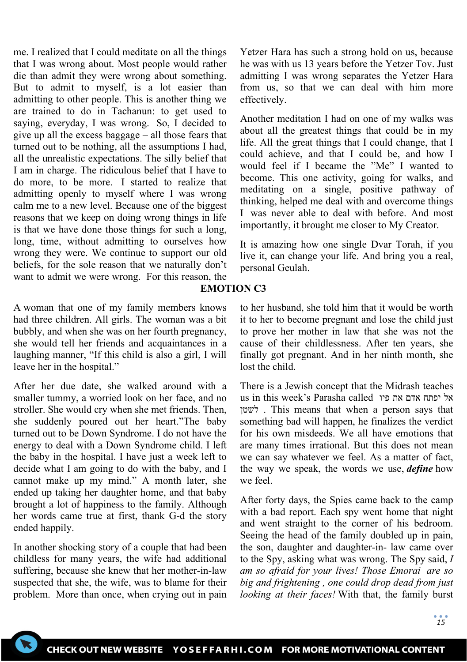me. I realized that I could meditate on all the things that I was wrong about. Most people would rather die than admit they were wrong about something. But to admit to myself, is a lot easier than admitting to other people. This is another thing we are trained to do in Tachanun: to get used to saying, everyday, I was wrong. So, I decided to give up all the excess baggage – all those fears that turned out to be nothing, all the assumptions I had, all the unrealistic expectations. The silly belief that I am in charge. The ridiculous belief that I have to do more, to be more. I started to realize that admitting openly to myself where I was wrong calm me to a new level. Because one of the biggest reasons that we keep on doing wrong things in life is that we have done those things for such a long, long, time, without admitting to ourselves how wrong they were. We continue to support our old beliefs, for the sole reason that we naturally don't want to admit we were wrong. For this reason, the

A woman that one of my family members knows had three children. All girls. The woman was a bit bubbly, and when she was on her fourth pregnancy, she would tell her friends and acquaintances in a laughing manner, "If this child is also a girl, I will leave her in the hospital."

After her due date, she walked around with a smaller tummy, a worried look on her face, and no stroller. She would cry when she met friends. Then, she suddenly poured out her heart."The baby turned out to be Down Syndrome. I do not have the energy to deal with a Down Syndrome child. I left the baby in the hospital. I have just a week left to decide what I am going to do with the baby, and I cannot make up my mind." A month later, she ended up taking her daughter home, and that baby brought a lot of happiness to the family. Although her words came true at first, thank G-d the story ended happily.

In another shocking story of a couple that had been childless for many years, the wife had additional suffering, because she knew that her mother-in-law suspected that she, the wife, was to blame for their problem. More than once, when crying out in pain Yetzer Hara has such a strong hold on us, because he was with us 13 years before the Yetzer Tov. Just admitting I was wrong separates the Yetzer Hara from us, so that we can deal with him more effectively.

Another meditation I had on one of my walks was about all the greatest things that could be in my life. All the great things that I could change, that I could achieve, and that I could be, and how I would feel if I became the "Me" I wanted to become. This one activity, going for walks, and meditating on a single, positive pathway of thinking, helped me deal with and overcome things I was never able to deal with before. And most importantly, it brought me closer to My Creator.

It is amazing how one single Dvar Torah, if you live it, can change your life. And bring you a real, personal Geulah.

## **EMOTION C3**

to her husband, she told him that it would be worth it to her to become pregnant and lose the child just to prove her mother in law that she was not the cause of their childlessness. After ten years, she finally got pregnant. And in her ninth month, she lost the child.

There is a Jewish concept that the Midrash teaches us in this week's Parasha called פיו את אדם יפתח אל לשטן . This means that when a person says that something bad will happen, he finalizes the verdict for his own misdeeds. We all have emotions that are many times irrational. But this does not mean we can say whatever we feel. As a matter of fact, the way we speak, the words we use, *define* how we feel.

After forty days, the Spies came back to the camp with a bad report. Each spy went home that night and went straight to the corner of his bedroom. Seeing the head of the family doubled up in pain, the son, daughter and daughter-in- law came over to the Spy, asking what was wrong. The Spy said, *I am so afraid for your lives! Those Emorai are so big and frightening , one could drop dead from just looking at their faces!* With that, the family burst

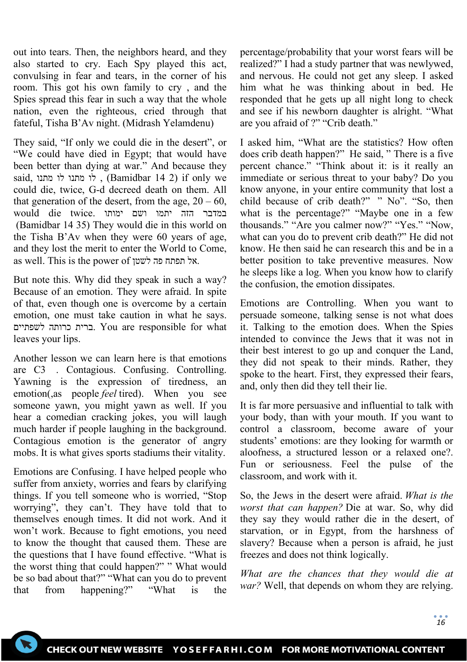out into tears. Then, the neighbors heard, and they also started to cry. Each Spy played this act, convulsing in fear and tears, in the corner of his room. This got his own family to cry , and the Spies spread this fear in such a way that the whole nation, even the righteous, cried through that fateful, Tisha B'Av night. (Midrash Yelamdenu)

They said, "If only we could die in the desert", or "We could have died in Egypt; that would have been better than dying at war." And because they said, מתנו לו מתנו לו ,) Bamidbar 14 2) if only we could die, twice, G-d decreed death on them. All that generation of the desert, from the age,  $20 - 60$ , במדבר הזה יתמו ושם ימותו .twice die would (Bamidbar 14 35) They would die in this world on the Tisha B'Av when they were 60 years of age, and they lost the merit to enter the World to Come, as well. This is the power of לשטן פה תפתח אל.

But note this. Why did they speak in such a way? Because of an emotion. They were afraid. In spite of that, even though one is overcome by a certain emotion, one must take caution in what he says. לשפתיים כרותה ברית. You are responsible for what leaves your lips.

Another lesson we can learn here is that emotions are C3 . Contagious. Confusing. Controlling. Yawning is the expression of tiredness, an emotion(,as people *feel* tired). When you see someone yawn, you might yawn as well. If you hear a comedian cracking jokes, you will laugh much harder if people laughing in the background. Contagious emotion is the generator of angry mobs. It is what gives sports stadiums their vitality.

Emotions are Confusing. I have helped people who suffer from anxiety, worries and fears by clarifying things. If you tell someone who is worried, "Stop worrying", they can't. They have told that to themselves enough times. It did not work. And it won't work. Because to fight emotions, you need to know the thought that caused them. These are the questions that I have found effective. "What is the worst thing that could happen?" " What would be so bad about that?" "What can you do to prevent that from happening?" "What is the

percentage/probability that your worst fears will be realized?" I had a study partner that was newlywed, and nervous. He could not get any sleep. I asked him what he was thinking about in bed. He responded that he gets up all night long to check and see if his newborn daughter is alright. "What are you afraid of ?" "Crib death."

I asked him, "What are the statistics? How often does crib death happen?" He said, " There is a five percent chance." "Think about it: is it really an immediate or serious threat to your baby? Do you know anyone, in your entire community that lost a child because of crib death?" " No". "So, then what is the percentage?" "Maybe one in a few thousands." "Are you calmer now?" "Yes." "Now, what can you do to prevent crib death?" He did not know. He then said he can research this and be in a better position to take preventive measures. Now he sleeps like a log. When you know how to clarify the confusion, the emotion dissipates.

Emotions are Controlling. When you want to persuade someone, talking sense is not what does it. Talking to the emotion does. When the Spies intended to convince the Jews that it was not in their best interest to go up and conquer the Land, they did not speak to their minds. Rather, they spoke to the heart. First, they expressed their fears, and, only then did they tell their lie.

It is far more persuasive and influential to talk with your body, than with your mouth. If you want to control a classroom, become aware of your students' emotions: are they looking for warmth or aloofness, a structured lesson or a relaxed one?. Fun or seriousness. Feel the pulse of the classroom, and work with it.

So, the Jews in the desert were afraid. *What is the worst that can happen?* Die at war. So, why did they say they would rather die in the desert, of starvation, or in Egypt, from the harshness of slavery? Because when a person is afraid, he just freezes and does not think logically.

*What are the chances that they would die at war?* Well, that depends on whom they are relying.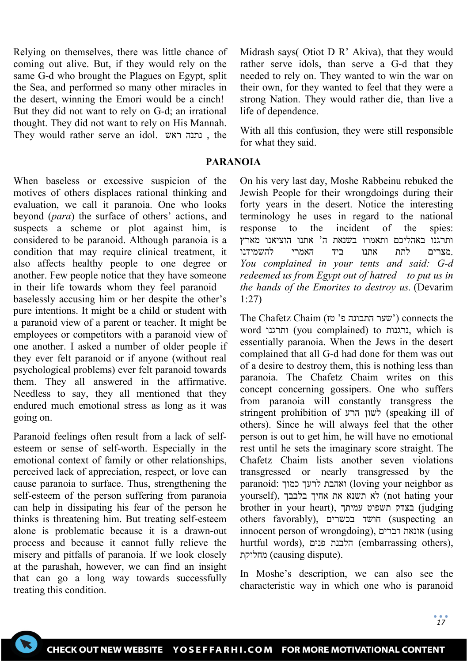Relying on themselves, there was little chance of coming out alive. But, if they would rely on the same G-d who brought the Plagues on Egypt, split the Sea, and performed so many other miracles in the desert, winning the Emori would be a cinch! But they did not want to rely on G-d; an irrational thought. They did not want to rely on His Mannah. They would rather serve an idol. ראש נתנה , the

When baseless or excessive suspicion of the motives of others displaces rational thinking and evaluation, we call it paranoia. One who looks beyond (*para*) the surface of others' actions, and suspects a scheme or plot against him, is considered to be paranoid. Although paranoia is a condition that may require clinical treatment, it also affects healthy people to one degree or another. Few people notice that they have someone in their life towards whom they feel paranoid – baselessly accusing him or her despite the other's pure intentions. It might be a child or student with a paranoid view of a parent or teacher. It might be employees or competitors with a paranoid view of one another. I asked a number of older people if they ever felt paranoid or if anyone (without real psychological problems) ever felt paranoid towards them. They all answered in the affirmative. Needless to say, they all mentioned that they endured much emotional stress as long as it was going on.

Paranoid feelings often result from a lack of selfesteem or sense of self-worth. Especially in the emotional context of family or other relationships, perceived lack of appreciation, respect, or love can cause paranoia to surface. Thus, strengthening the self-esteem of the person suffering from paranoia can help in dissipating his fear of the person he thinks is threatening him. But treating self-esteem alone is problematic because it is a drawn-out process and because it cannot fully relieve the misery and pitfalls of paranoia. If we look closely at the parashah, however, we can find an insight that can go a long way towards successfully treating this condition.

Midrash says( Otiot D R' Akiva), that they would rather serve idols, than serve a G-d that they needed to rely on. They wanted to win the war on their own, for they wanted to feel that they were a strong Nation. They would rather die, than live a life of dependence.

With all this confusion, they were still responsible for what they said.

### **PARANOIA**

On his very last day, Moshe Rabbeinu rebuked the Jewish People for their wrongdoings during their forty years in the desert. Notice the interesting terminology he uses in regard to the national response to the incident of the spies: ותרגנו באהליכם ותאמרו בשנאת ה' אתנו הוציאנו מארץ .מצרים לתת אתנו ביד האמרי להשמידנו *You complained in your tents and said: G-d redeemed us from Egypt out of hatred – to put us in the hands of the Emorites to destroy us.* (Devarim 1:27)

The Chafetz Chaim (ישער התבונה פ' טז') connects the word ותרגנו) you complained) to נרגנות, which is essentially paranoia. When the Jews in the desert complained that all G-d had done for them was out of a desire to destroy them, this is nothing less than paranoia. The Chafetz Chaim writes on this concept concerning gossipers. One who suffers from paranoia will constantly transgress the stringent prohibition of הרע לשון) speaking ill of others). Since he will always feel that the other person is out to get him, he will have no emotional rest until he sets the imaginary score straight. The Chafetz Chaim lists another seven violations transgressed or nearly transgressed by the paranoid: כמוך לרעך ואהבת) loving your neighbor as your hating not (לא תשנא את אחיך בלבבך ,(yourself brother in your heart), עמיתך תשפוט בצדק) judging others favorably), בכשרים חושד) suspecting an innocent person of wrongdoing), דברים אונאת) using hurtful words), הלבנת פנים, (embarrassing others), מחלוקת) causing dispute).

In Moshe's description, we can also see the characteristic way in which one who is paranoid